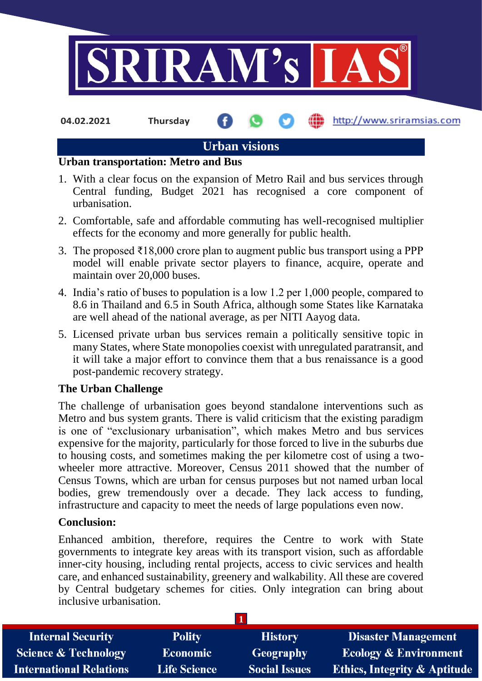

**04.02.2021 Thursday**

http://www.sriramsias.com

# **Urban visions**

#### **Urban transportation: Metro and Bus**

- 1. With a clear focus on the expansion of Metro Rail and bus services through Central funding, Budget 2021 has recognised a core component of urbanisation.
- 2. Comfortable, safe and affordable commuting has well-recognised multiplier effects for the economy and more generally for public health.
- 3. The proposed  $\overline{\xi}18,000$  crore plan to augment public bus transport using a PPP model will enable private sector players to finance, acquire, operate and maintain over 20,000 buses.
- 4. India's ratio of buses to population is a low 1.2 per 1,000 people, compared to 8.6 in Thailand and 6.5 in South Africa, although some States like Karnataka are well ahead of the national average, as per NITI Aayog data.
- 5. Licensed private urban bus services remain a politically sensitive topic in many States, where State monopolies coexist with unregulated paratransit, and it will take a major effort to convince them that a bus renaissance is a good post-pandemic recovery strategy.

### **The Urban Challenge**

The challenge of urbanisation goes beyond standalone interventions such as Metro and bus system grants. There is valid criticism that the existing paradigm is one of "exclusionary urbanisation", which makes Metro and bus services expensive for the majority, particularly for those forced to live in the suburbs due to housing costs, and sometimes making the per kilometre cost of using a twowheeler more attractive. Moreover, Census 2011 showed that the number of Census Towns, which are urban for census purposes but not named urban local bodies, grew tremendously over a decade. They lack access to funding, infrastructure and capacity to meet the needs of large populations even now.

### **Conclusion:**

Enhanced ambition, therefore, requires the Centre to work with State governments to integrate key areas with its transport vision, such as affordable inner-city housing, including rental projects, access to civic services and health care, and enhanced sustainability, greenery and walkability. All these are covered by Central budgetary schemes for cities. Only integration can bring about inclusive urbanisation.

| <b>Internal Security</b>       | <b>Polity</b>       | <b>History</b>       | <b>Disaster Management</b>              |
|--------------------------------|---------------------|----------------------|-----------------------------------------|
| Science & Technology           | <b>Economic</b>     | Geography            | <b>Ecology &amp; Environment</b>        |
| <b>International Relations</b> | <b>Life Science</b> | <b>Social Issues</b> | <b>Ethics, Integrity &amp; Aptitude</b> |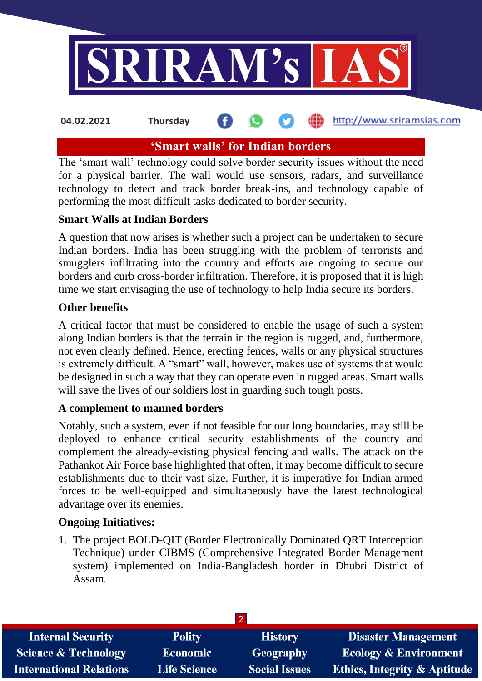

#### http://www.sriramsias.com **04.02.2021 Thursday**

# **'Smart walls' for Indian borders**

The 'smart wall' technology could solve border security issues without the need for a physical barrier. The wall would use sensors, radars, and surveillance technology to detect and track border break-ins, and technology capable of performing the most difficult tasks dedicated to border security.

## **Smart Walls at Indian Borders**

A question that now arises is whether such a project can be undertaken to secure Indian borders. India has been struggling with the problem of terrorists and smugglers infiltrating into the country and efforts are ongoing to secure our borders and curb cross-border infiltration. Therefore, it is proposed that it is high time we start envisaging the use of technology to help India secure its borders.

### **Other benefits**

A critical factor that must be considered to enable the usage of such a system along Indian borders is that the terrain in the region is rugged, and, furthermore, not even clearly defined. Hence, erecting fences, walls or any physical structures is extremely difficult. A "smart" wall, however, makes use of systems that would be designed in such a way that they can operate even in rugged areas. Smart walls will save the lives of our soldiers lost in guarding such tough posts.

### **A complement to manned borders**

Notably, such a system, even if not feasible for our long boundaries, may still be deployed to enhance critical security establishments of the country and complement the already-existing physical fencing and walls. The attack on the Pathankot Air Force base highlighted that often, it may become difficult to secure establishments due to their vast size. Further, it is imperative for Indian armed forces to be well-equipped and simultaneously have the latest technological advantage over its enemies.

### **Ongoing Initiatives:**

1. The project BOLD-QIT (Border Electronically Dominated QRT Interception Technique) under CIBMS (Comprehensive Integrated Border Management system) implemented on India-Bangladesh border in Dhubri District of Assam.

| <b>Internal Security</b>        | <b>Polity</b>       | <b>History</b>       | <b>Disaster Management</b>              |
|---------------------------------|---------------------|----------------------|-----------------------------------------|
| <b>Science &amp; Technology</b> | <b>Economic</b>     | Geography            | <b>Ecology &amp; Environment</b>        |
| <b>International Relations</b>  | <b>Life Science</b> | <b>Social Issues</b> | <b>Ethics, Integrity &amp; Aptitude</b> |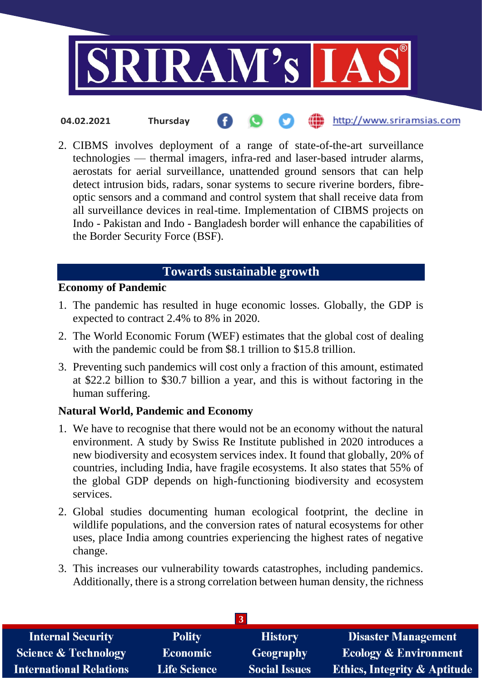

- http://www.sriramsias.com **04.02.2021 Thursday**
- 2. CIBMS involves deployment of a range of state-of-the-art surveillance technologies — thermal imagers, infra-red and laser-based intruder alarms, aerostats for aerial surveillance, unattended ground sensors that can help detect intrusion bids, radars, sonar systems to secure riverine borders, fibreoptic sensors and a command and control system that shall receive data from all surveillance devices in real-time. Implementation of CIBMS projects on Indo - Pakistan and Indo - Bangladesh border will enhance the capabilities of the Border Security Force (BSF).

# **Towards sustainable growth**

### **Economy of Pandemic**

- 1. The pandemic has resulted in huge economic losses. Globally, the GDP is expected to contract 2.4% to 8% in 2020.
- 2. The World Economic Forum (WEF) estimates that the global cost of dealing with the pandemic could be from \$8.1 trillion to \$15.8 trillion.
- 3. Preventing such pandemics will cost only a fraction of this amount, estimated at \$22.2 billion to \$30.7 billion a year, and this is without factoring in the human suffering.

## **Natural World, Pandemic and Economy**

- 1. We have to recognise that there would not be an economy without the natural environment. A study by Swiss Re Institute published in 2020 introduces a new biodiversity and ecosystem services index. It found that globally, 20% of countries, including India, have fragile ecosystems. It also states that 55% of the global GDP depends on high-functioning biodiversity and ecosystem services.
- 2. Global studies documenting human ecological footprint, the decline in wildlife populations, and the conversion rates of natural ecosystems for other uses, place India among countries experiencing the highest rates of negative change.
- 3. This increases our vulnerability towards catastrophes, including pandemics. Additionally, there is a strong correlation between human density, the richness

| -3                              |                     |                      |                                         |  |
|---------------------------------|---------------------|----------------------|-----------------------------------------|--|
| <b>Internal Security</b>        | <b>Polity</b>       | <b>History</b>       | <b>Disaster Management</b>              |  |
| <b>Science &amp; Technology</b> | <b>Economic</b>     | Geography            | <b>Ecology &amp; Environment</b>        |  |
| <b>International Relations</b>  | <b>Life Science</b> | <b>Social Issues</b> | <b>Ethics, Integrity &amp; Aptitude</b> |  |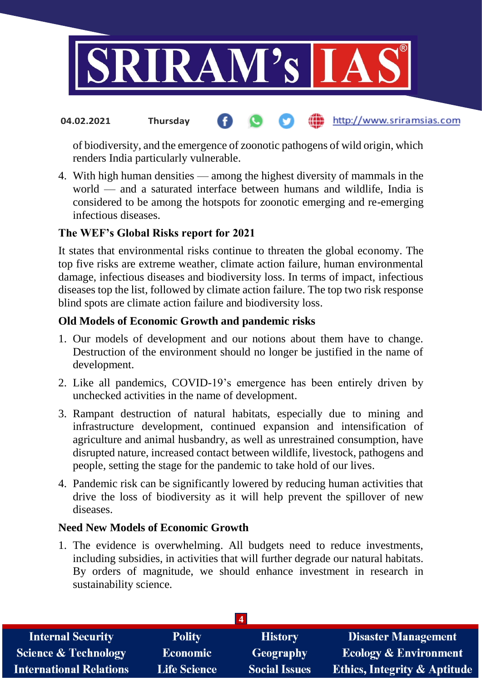

#### http://www.sriramsias.com **04.02.2021 Thursday**

of biodiversity, and the emergence of zoonotic pathogens of wild origin, which renders India particularly vulnerable.

4. With high human densities — among the highest diversity of mammals in the world — and a saturated interface between humans and wildlife, India is considered to be among the hotspots for zoonotic emerging and re-emerging infectious diseases.

## **The WEF's Global Risks report for 2021**

It states that environmental risks continue to threaten the global economy. The top five risks are extreme weather, climate action failure, human environmental damage, infectious diseases and biodiversity loss. In terms of impact, infectious diseases top the list, followed by climate action failure. The top two risk response blind spots are climate action failure and biodiversity loss.

### **Old Models of Economic Growth and pandemic risks**

- 1. Our models of development and our notions about them have to change. Destruction of the environment should no longer be justified in the name of development.
- 2. Like all pandemics, COVID-19's emergence has been entirely driven by unchecked activities in the name of development.
- 3. Rampant destruction of natural habitats, especially due to mining and infrastructure development, continued expansion and intensification of agriculture and animal husbandry, as well as unrestrained consumption, have disrupted nature, increased contact between wildlife, livestock, pathogens and people, setting the stage for the pandemic to take hold of our lives.
- 4. Pandemic risk can be significantly lowered by reducing human activities that drive the loss of biodiversity as it will help prevent the spillover of new diseases.

### **Need New Models of Economic Growth**

1. The evidence is overwhelming. All budgets need to reduce investments, including subsidies, in activities that will further degrade our natural habitats. By orders of magnitude, we should enhance investment in research in sustainability science.

| <b>Polity</b>       | <b>History</b>       | <b>Disaster Management</b>              |  |  |
|---------------------|----------------------|-----------------------------------------|--|--|
| Economic            | <b>Geography</b>     | <b>Ecology &amp; Environment</b>        |  |  |
| <b>Life Science</b> | <b>Social Issues</b> | <b>Ethics, Integrity &amp; Aptitude</b> |  |  |
|                     |                      |                                         |  |  |